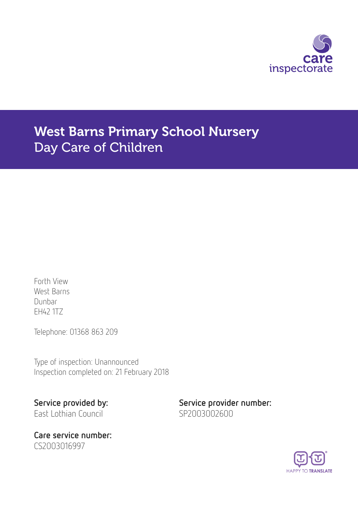

# West Barns Primary School Nursery Day Care of Children

Forth View West Barns Dunbar EH42 1TZ

Telephone: 01368 863 209

Type of inspection: Unannounced Inspection completed on: 21 February 2018

Care service number: CS2003016997

Service provided by: Service provider number: East Lothian Council SP2003002600

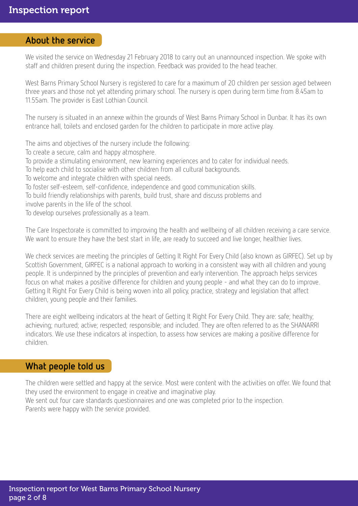# About the service

We visited the service on Wednesday 21 February 2018 to carry out an unannounced inspection. We spoke with staff and children present during the inspection. Feedback was provided to the head teacher.

West Barns Primary School Nursery is registered to care for a maximum of 20 children per session aged between three years and those not yet attending primary school. The nursery is open during term time from 8.45am to 11.55am. The provider is East Lothian Council.

The nursery is situated in an annexe within the grounds of West Barns Primary School in Dunbar. It has its own entrance hall, toilets and enclosed garden for the children to participate in more active play.

The aims and objectives of the nursery include the following:

To create a secure, calm and happy atmosphere.

- To provide a stimulating environment, new learning experiences and to cater for individual needs.
- To help each child to socialise with other children from all cultural backgrounds.
- To welcome and integrate children with special needs.
- To foster self-esteem, self-confidence, independence and good communication skills.

To build friendly relationships with parents, build trust, share and discuss problems and

involve parents in the life of the school.

To develop ourselves professionally as a team.

The Care Inspectorate is committed to improving the health and wellbeing of all children receiving a care service. We want to ensure they have the best start in life, are ready to succeed and live longer, healthier lives.

We check services are meeting the principles of Getting It Right For Every Child (also known as GIRFEC). Set up by Scottish Government, GIRFEC is a national approach to working in a consistent way with all children and young people. It is underpinned by the principles of prevention and early intervention. The approach helps services focus on what makes a positive difference for children and young people - and what they can do to improve. Getting It Right For Every Child is being woven into all policy, practice, strategy and legislation that affect children, young people and their families.

There are eight wellbeing indicators at the heart of Getting It Right For Every Child. They are: safe; healthy; achieving; nurtured; active; respected; responsible; and included. They are often referred to as the SHANARRI indicators. We use these indicators at inspection, to assess how services are making a positive difference for children.

# What people told us

The children were settled and happy at the service. Most were content with the activities on offer. We found that they used the environment to engage in creative and imaginative play. We sent out four care standards questionnaires and one was completed prior to the inspection. Parents were happy with the service provided.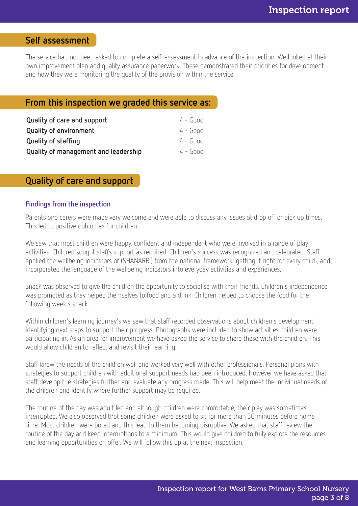# Self assessment

The service had not been asked to complete a self-assessment in advance of the inspection. We looked at their own improvement plan and quality assurance paperwork. These demonstrated their priorities for development and how they were monitoring the quality of the provision within the service.

# From this inspection we graded this service as:

| Quality of care and support          | $4 - Good$ |
|--------------------------------------|------------|
| <b>Quality of environment</b>        | $4 - Good$ |
| <b>Quality of staffing</b>           | $4 - Good$ |
| Quality of management and leadership | $4 - Good$ |

### Quality of care and support

#### Findings from the inspection

Parents and carers were made very welcome and were able to discuss any issues at drop off or pick up times. This led to positive outcomes for children.

We saw that most children were happy, confident and independent who were involved in a range of play activities. Children sought staffs support as required. Children's success was recognised and celebrated. Staff applied the wellbeing indicators of (SHANARRI) from the national framework 'getting it right for every child', and incorporated the language of the wellbeing indicators into everyday activities and experiences.

Snack was observed to give the children the opportunity to socialise with their friends. Children's independence was promoted as they helped themselves to food and a drink. Children helped to choose the food for the following week's snack.

Within children's learning journey's we saw that staff recorded observations about children's development, identifying next steps to support their progress. Photographs were included to show activities children were participating in. As an area for improvement we have asked the service to share these with the children. This would allow children to reflect and revisit their learning.

Staff knew the needs of the children well and worked very well with other professionals. Personal plans with strategies to support children with additional support needs had been introduced. However we have asked that staff develop the strategies further and evaluate any progress made. This will help meet the individual needs of the children and identify where further support may be required.

The routine of the day was adult led and although children were comfortable, their play was sometimes interrupted. We also observed that some children were asked to sit for more than 30 minutes before home time. Most children were bored and this lead to them becoming disruptive. We asked that staff review the routine of the day and keep interruptions to a minimum. This would give children to fully explore the resources and learning opportunities on offer. We will follow this up at the next inspection.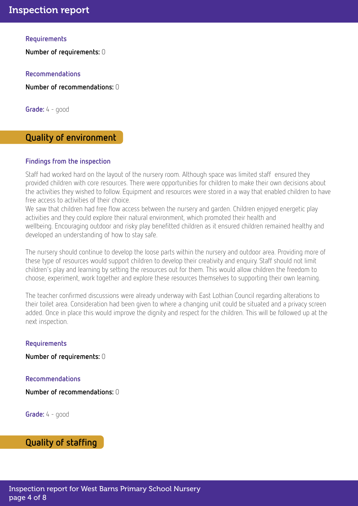#### **Requirements**

Number of requirements: 0

Recommendations

Number of recommendations: 0

**Grade:** 4 - good

# Quality of environment

#### Findings from the inspection

Staff had worked hard on the layout of the nursery room. Although space was limited staff ensured they provided children with core resources. There were opportunities for children to make their own decisions about the activities they wished to follow. Equipment and resources were stored in a way that enabled children to have free access to activities of their choice.

We saw that children had free flow access between the nursery and garden. Children enjoyed energetic play activities and they could explore their natural environment, which promoted their health and wellbeing. Encouraging outdoor and risky play benefitted children as it ensured children remained healthy and developed an understanding of how to stay safe.

The nursery should continue to develop the loose parts within the nursery and outdoor area. Providing more of these type of resources would support children to develop their creativity and enquiry. Staff should not limit children's play and learning by setting the resources out for them. This would allow children the freedom to choose, experiment, work together and explore these resources themselves to supporting their own learning.

The teacher confirmed discussions were already underway with East Lothian Council regarding alterations to their toilet area. Consideration had been given to where a changing unit could be situated and a privacy screen added. Once in place this would improve the dignity and respect for the children. This will be followed up at the next inspection.

#### Requirements

Number of requirements: 0

#### Recommendations

Number of recommendations: 0

Grade: 4 - good

### Quality of staffing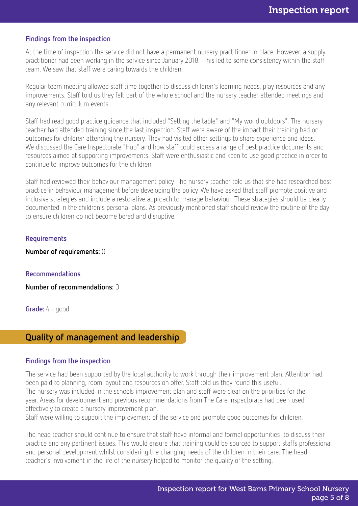#### Findings from the inspection

At the time of inspection the service did not have a permanent nursery practitioner in place. However, a supply practitioner had been working in the service since January 2018. This led to some consistency within the staff team. We saw that staff were caring towards the children.

Regular team meeting allowed staff time together to discuss children's learning needs, play resources and any improvements. Staff told us they felt part of the whole school and the nursery teacher attended meetings and any relevant curriculum events.

Staff had read good practice guidance that included "Setting the table" and "My world outdoors". The nursery teacher had attended training since the last inspection. Staff were aware of the impact their training had on outcomes for children attending the nursery. They had visited other settings to share experience and ideas. We discussed the Care Inspectorate "Hub" and how staff could access a range of best practice documents and resources aimed at supporting improvements. Staff were enthusiastic and keen to use good practice in order to continue to improve outcomes for the children.

Staff had reviewed their behaviour management policy. The nursery teacher told us that she had researched best practice in behaviour management before developing the policy. We have asked that staff promote positive and inclusive strategies and include a restorative approach to manage behaviour. These strategies should be clearly documented in the children's personal plans. As previously mentioned staff should review the routine of the day to ensure children do not become bored and disruptive.

#### Requirements

Number of requirements: 0

#### Recommendations

Number of recommendations: 0

Grade: 4 - good

### Quality of management and leadership

#### Findings from the inspection

The service had been supported by the local authority to work through their improvement plan. Attention had been paid to planning, room layout and resources on offer. Staff told us they found this useful. The nursery was included in the schools improvement plan and staff were clear on the priorities for the year. Areas for development and previous recommendations from The Care Inspectorate had been used effectively to create a nursery improvement plan.

Staff were willing to support the improvement of the service and promote good outcomes for children.

The head teacher should continue to ensure that staff have informal and formal opportunities to discuss their practice and any pertinent issues. This would ensure that training could be sourced to support staffs professional and personal development whilst considering the changing needs of the children in their care. The head teacher's involvement in the life of the nursery helped to monitor the quality of the setting.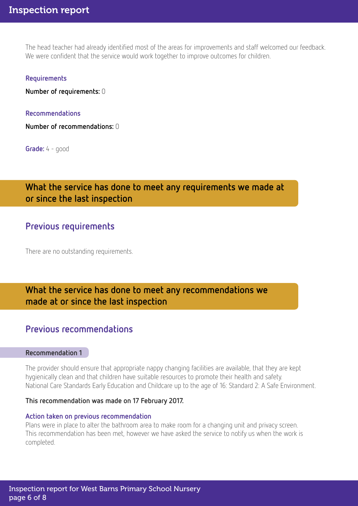The head teacher had already identified most of the areas for improvements and staff welcomed our feedback. We were confident that the service would work together to improve outcomes for children.

#### Requirements

Number of requirements: 0

#### Recommendations

Number of recommendations: 0

Grade: 4 - good

# What the service has done to meet any requirements we made at or since the last inspection

### Previous requirements

There are no outstanding requirements.

# What the service has done to meet any recommendations we made at or since the last inspection

# Previous recommendations

#### Recommendation 1

The provider should ensure that appropriate nappy changing facilities are available, that they are kept hygienically clean and that children have suitable resources to promote their health and safety. National Care Standards Early Education and Childcare up to the age of 16: Standard 2: A Safe Environment.

#### This recommendation was made on 17 February 2017.

#### Action taken on previous recommendation

Plans were in place to alter the bathroom area to make room for a changing unit and privacy screen. This recommendation has been met, however we have asked the service to notify us when the work is completed.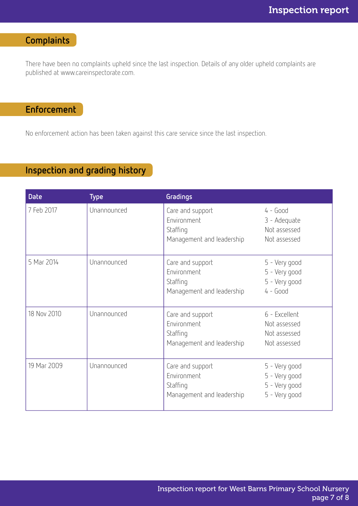# **Complaints**

There have been no complaints upheld since the last inspection. Details of any older upheld complaints are published at www.careinspectorate.com.

# Enforcement

No enforcement action has been taken against this care service since the last inspection.

# Inspection and grading history

| <b>Date</b> | <b>Type</b> | Gradings                                                                 |                                                                  |
|-------------|-------------|--------------------------------------------------------------------------|------------------------------------------------------------------|
| 7 Feb 2017  | Unannounced | Care and support<br>Environment<br>Staffing<br>Management and leadership | $4 - Good$<br>3 - Adequate<br>Not assessed<br>Not assessed       |
| 5 Mar 2014  | Unannounced | Care and support<br>Environment<br>Staffing<br>Management and leadership | 5 - Very good<br>5 - Very good<br>5 - Very good<br>$4 - Good$    |
| 18 Nov 2010 | Unannounced | Care and support<br>Environment<br>Staffing<br>Management and leadership | 6 - Excellent<br>Not assessed<br>Not assessed<br>Not assessed    |
| 19 Mar 2009 | Unannounced | Care and support<br>Environment<br>Staffing<br>Management and leadership | 5 - Very good<br>5 - Very good<br>5 - Very good<br>5 - Very good |